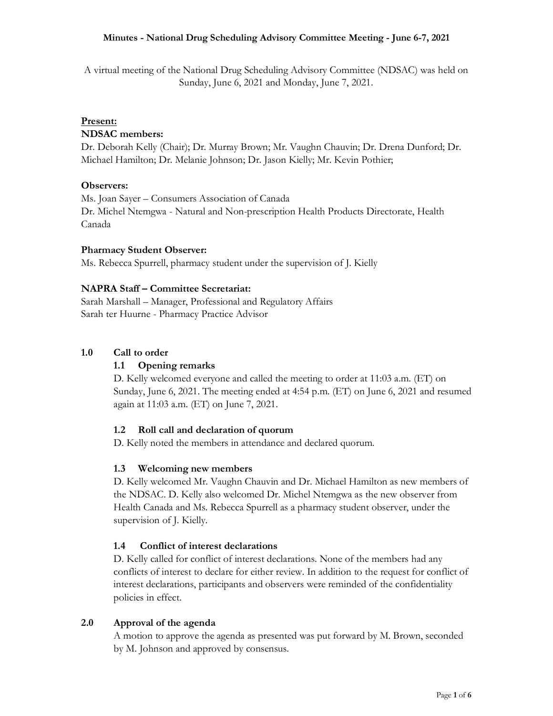A virtual meeting of the National Drug Scheduling Advisory Committee (NDSAC) was held on Sunday, June 6, 2021 and Monday, June 7, 2021.

# **Present:**

## **NDSAC members:**

Dr. Deborah Kelly (Chair); Dr. Murray Brown; Mr. Vaughn Chauvin; Dr. Drena Dunford; Dr. Michael Hamilton; Dr. Melanie Johnson; Dr. Jason Kielly; Mr. Kevin Pothier;

## **Observers:**

Ms. Joan Sayer – Consumers Association of Canada Dr. Michel Ntemgwa - Natural and Non-prescription Health Products Directorate, Health Canada

## **Pharmacy Student Observer:**

Ms. Rebecca Spurrell, pharmacy student under the supervision of J. Kielly

# **NAPRA Staff – Committee Secretariat:**

Sarah Marshall – Manager, Professional and Regulatory Affairs Sarah ter Huurne - Pharmacy Practice Advisor

## **1.0 Call to order**

# **1.1 Opening remarks**

D. Kelly welcomed everyone and called the meeting to order at 11:03 a.m. (ET) on Sunday, June 6, 2021. The meeting ended at 4:54 p.m. (ET) on June 6, 2021 and resumed again at 11:03 a.m. (ET) on June 7, 2021.

# **1.2 Roll call and declaration of quorum**

D. Kelly noted the members in attendance and declared quorum.

#### **1.3 Welcoming new members**

D. Kelly welcomed Mr. Vaughn Chauvin and Dr. Michael Hamilton as new members of the NDSAC. D. Kelly also welcomed Dr. Michel Ntemgwa as the new observer from Health Canada and Ms. Rebecca Spurrell as a pharmacy student observer, under the supervision of J. Kielly.

#### **1.4 Conflict of interest declarations**

D. Kelly called for conflict of interest declarations. None of the members had any conflicts of interest to declare for either review. In addition to the request for conflict of interest declarations, participants and observers were reminded of the confidentiality policies in effect.

#### **2.0 Approval of the agenda**

A motion to approve the agenda as presented was put forward by M. Brown, seconded by M. Johnson and approved by consensus.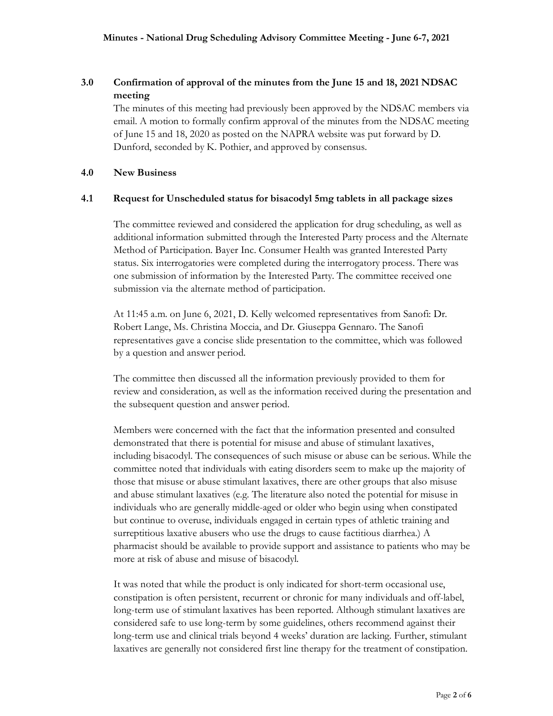# **3.0 Confirmation of approval of the minutes from the June 15 and 18, 2021 NDSAC meeting**

The minutes of this meeting had previously been approved by the NDSAC members via email. A motion to formally confirm approval of the minutes from the NDSAC meeting of June 15 and 18, 2020 as posted on the NAPRA website was put forward by D. Dunford, seconded by K. Pothier, and approved by consensus.

#### **4.0 New Business**

## **4.1 Request for Unscheduled status for bisacodyl 5mg tablets in all package sizes**

The committee reviewed and considered the application for drug scheduling, as well as additional information submitted through the Interested Party process and the Alternate Method of Participation. Bayer Inc. Consumer Health was granted Interested Party status. Six interrogatories were completed during the interrogatory process. There was one submission of information by the Interested Party. The committee received one submission via the alternate method of participation.

At 11:45 a.m. on June 6, 2021, D. Kelly welcomed representatives from Sanofi: Dr. Robert Lange, Ms. Christina Moccia, and Dr. Giuseppa Gennaro. The Sanofi representatives gave a concise slide presentation to the committee, which was followed by a question and answer period.

The committee then discussed all the information previously provided to them for review and consideration, as well as the information received during the presentation and the subsequent question and answer period.

Members were concerned with the fact that the information presented and consulted demonstrated that there is potential for misuse and abuse of stimulant laxatives, including bisacodyl. The consequences of such misuse or abuse can be serious. While the committee noted that individuals with eating disorders seem to make up the majority of those that misuse or abuse stimulant laxatives, there are other groups that also misuse and abuse stimulant laxatives (e.g. The literature also noted the potential for misuse in individuals who are generally middle-aged or older who begin using when constipated but continue to overuse, individuals engaged in certain types of athletic training and surreptitious laxative abusers who use the drugs to cause factitious diarrhea.) A pharmacist should be available to provide support and assistance to patients who may be more at risk of abuse and misuse of bisacodyl.

It was noted that while the product is only indicated for short-term occasional use, constipation is often persistent, recurrent or chronic for many individuals and off-label, long-term use of stimulant laxatives has been reported. Although stimulant laxatives are considered safe to use long-term by some guidelines, others recommend against their long-term use and clinical trials beyond 4 weeks' duration are lacking. Further, stimulant laxatives are generally not considered first line therapy for the treatment of constipation.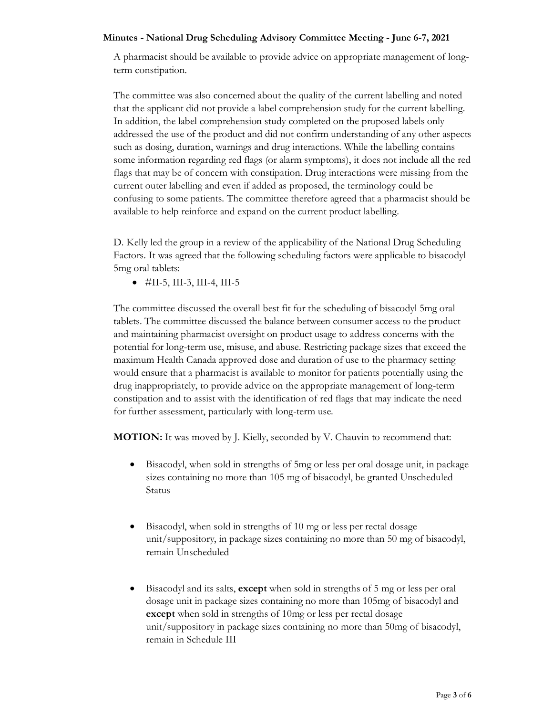A pharmacist should be available to provide advice on appropriate management of longterm constipation.

The committee was also concerned about the quality of the current labelling and noted that the applicant did not provide a label comprehension study for the current labelling. In addition, the label comprehension study completed on the proposed labels only addressed the use of the product and did not confirm understanding of any other aspects such as dosing, duration, warnings and drug interactions. While the labelling contains some information regarding red flags (or alarm symptoms), it does not include all the red flags that may be of concern with constipation. Drug interactions were missing from the current outer labelling and even if added as proposed, the terminology could be confusing to some patients. The committee therefore agreed that a pharmacist should be available to help reinforce and expand on the current product labelling.

D. Kelly led the group in a review of the applicability of the National Drug Scheduling Factors. It was agreed that the following scheduling factors were applicable to bisacodyl 5mg oral tablets:

 $\bullet$  #II-5, III-3, III-4, III-5

The committee discussed the overall best fit for the scheduling of bisacodyl 5mg oral tablets. The committee discussed the balance between consumer access to the product and maintaining pharmacist oversight on product usage to address concerns with the potential for long-term use, misuse, and abuse. Restricting package sizes that exceed the maximum Health Canada approved dose and duration of use to the pharmacy setting would ensure that a pharmacist is available to monitor for patients potentially using the drug inappropriately, to provide advice on the appropriate management of long-term constipation and to assist with the identification of red flags that may indicate the need for further assessment, particularly with long-term use.

**MOTION:** It was moved by J. Kielly, seconded by V. Chauvin to recommend that:

- Bisacodyl, when sold in strengths of 5mg or less per oral dosage unit, in package sizes containing no more than 105 mg of bisacodyl, be granted Unscheduled Status
- Bisacodyl, when sold in strengths of 10 mg or less per rectal dosage unit/suppository, in package sizes containing no more than 50 mg of bisacodyl, remain Unscheduled
- Bisacodyl and its salts, **except** when sold in strengths of 5 mg or less per oral dosage unit in package sizes containing no more than 105mg of bisacodyl and **except** when sold in strengths of 10mg or less per rectal dosage unit/suppository in package sizes containing no more than 50mg of bisacodyl, remain in Schedule III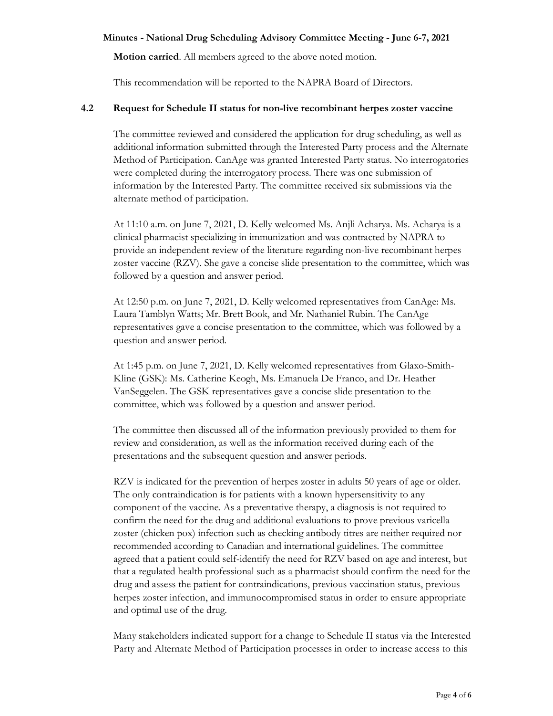**Motion carried**. All members agreed to the above noted motion.

This recommendation will be reported to the NAPRA Board of Directors.

## **4.2 Request for Schedule II status for non-live recombinant herpes zoster vaccine**

The committee reviewed and considered the application for drug scheduling, as well as additional information submitted through the Interested Party process and the Alternate Method of Participation. CanAge was granted Interested Party status. No interrogatories were completed during the interrogatory process. There was one submission of information by the Interested Party. The committee received six submissions via the alternate method of participation.

At 11:10 a.m. on June 7, 2021, D. Kelly welcomed Ms. Anjli Acharya. Ms. Acharya is a clinical pharmacist specializing in immunization and was contracted by NAPRA to provide an independent review of the literature regarding non-live recombinant herpes zoster vaccine (RZV). She gave a concise slide presentation to the committee, which was followed by a question and answer period.

At 12:50 p.m. on June 7, 2021, D. Kelly welcomed representatives from CanAge: Ms. Laura Tamblyn Watts; Mr. Brett Book, and Mr. Nathaniel Rubin. The CanAge representatives gave a concise presentation to the committee, which was followed by a question and answer period.

At 1:45 p.m. on June 7, 2021, D. Kelly welcomed representatives from Glaxo-Smith-Kline (GSK): Ms. Catherine Keogh, Ms. Emanuela De Franco, and Dr. Heather VanSeggelen. The GSK representatives gave a concise slide presentation to the committee, which was followed by a question and answer period.

The committee then discussed all of the information previously provided to them for review and consideration, as well as the information received during each of the presentations and the subsequent question and answer periods.

RZV is indicated for the prevention of herpes zoster in adults 50 years of age or older. The only contraindication is for patients with a known hypersensitivity to any component of the vaccine. As a preventative therapy, a diagnosis is not required to confirm the need for the drug and additional evaluations to prove previous varicella zoster (chicken pox) infection such as checking antibody titres are neither required nor recommended according to Canadian and international guidelines. The committee agreed that a patient could self-identify the need for RZV based on age and interest, but that a regulated health professional such as a pharmacist should confirm the need for the drug and assess the patient for contraindications, previous vaccination status, previous herpes zoster infection, and immunocompromised status in order to ensure appropriate and optimal use of the drug.

Many stakeholders indicated support for a change to Schedule II status via the Interested Party and Alternate Method of Participation processes in order to increase access to this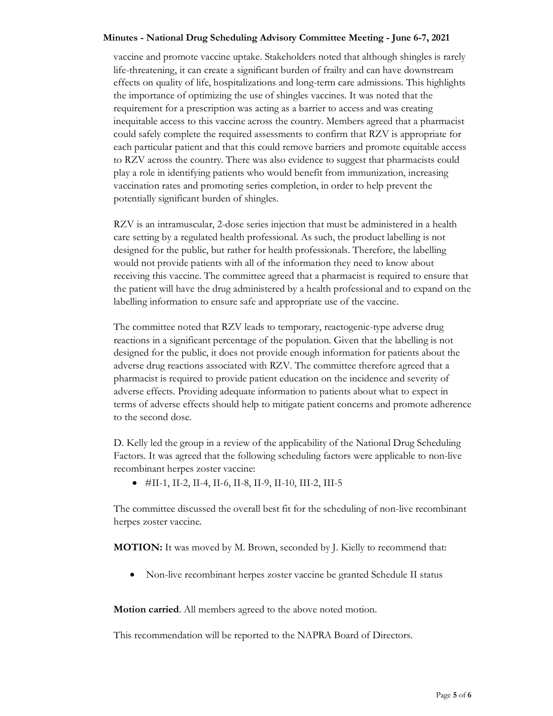vaccine and promote vaccine uptake. Stakeholders noted that although shingles is rarely life-threatening, it can create a significant burden of frailty and can have downstream effects on quality of life, hospitalizations and long-term care admissions. This highlights the importance of optimizing the use of shingles vaccines. It was noted that the requirement for a prescription was acting as a barrier to access and was creating inequitable access to this vaccine across the country. Members agreed that a pharmacist could safely complete the required assessments to confirm that RZV is appropriate for each particular patient and that this could remove barriers and promote equitable access to RZV across the country. There was also evidence to suggest that pharmacists could play a role in identifying patients who would benefit from immunization, increasing vaccination rates and promoting series completion, in order to help prevent the potentially significant burden of shingles.

RZV is an intramuscular, 2-dose series injection that must be administered in a health care setting by a regulated health professional. As such, the product labelling is not designed for the public, but rather for health professionals. Therefore, the labelling would not provide patients with all of the information they need to know about receiving this vaccine. The committee agreed that a pharmacist is required to ensure that the patient will have the drug administered by a health professional and to expand on the labelling information to ensure safe and appropriate use of the vaccine.

The committee noted that RZV leads to temporary, reactogenic-type adverse drug reactions in a significant percentage of the population. Given that the labelling is not designed for the public, it does not provide enough information for patients about the adverse drug reactions associated with RZV. The committee therefore agreed that a pharmacist is required to provide patient education on the incidence and severity of adverse effects. Providing adequate information to patients about what to expect in terms of adverse effects should help to mitigate patient concerns and promote adherence to the second dose.

D. Kelly led the group in a review of the applicability of the National Drug Scheduling Factors. It was agreed that the following scheduling factors were applicable to non-live recombinant herpes zoster vaccine:

 $\bullet$  #II-1, II-2, II-4, II-6, II-8, II-9, II-10, III-2, III-5

The committee discussed the overall best fit for the scheduling of non-live recombinant herpes zoster vaccine.

**MOTION:** It was moved by M. Brown, seconded by J. Kielly to recommend that:

• Non-live recombinant herpes zoster vaccine be granted Schedule II status

**Motion carried**. All members agreed to the above noted motion.

This recommendation will be reported to the NAPRA Board of Directors.